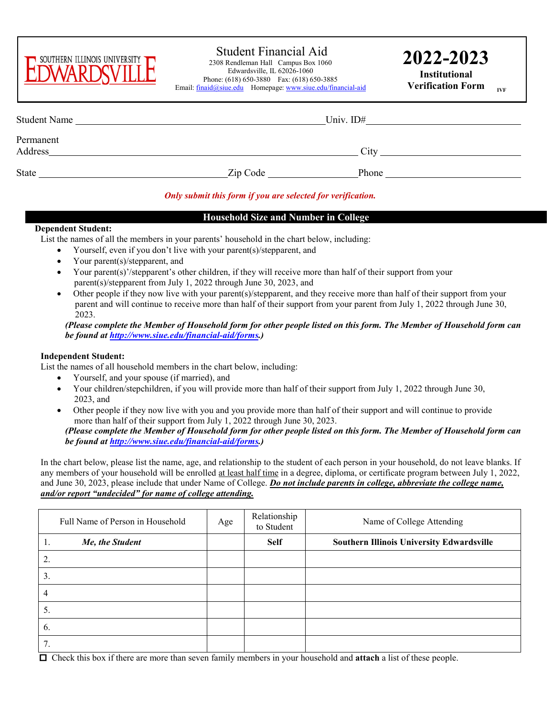

# Student Financial Aid 2308 Rendleman Hall Campus Box 1060

 Edwardsville, IL 62026-1060 Phone: (618) 650-3880 Fax: (618) 650-3885 Email: [finaid@siue.edu](mailto:finaid@siue.edu) Homepage[: www.siue.edu/financial-aid](http://www.siue.edu/financial-aid) **2022-2023**

**Institutional Verification Form** 

| <b>Student Name</b>  |          | Univ. ID# |  |
|----------------------|----------|-----------|--|
| Permanent<br>Address |          | City      |  |
| <b>State</b>         | Zip Code | Phone     |  |

# *Only submit this form if you are selected for verification.*

### **Household Size and Number in College**

#### **Dependent Student:**

List the names of all the members in your parents' household in the chart below, including:

- Yourself, even if you don't live with your parent(s)/stepparent, and
- Your parent(s)/stepparent, and
- Your parent(s)'/stepparent's other children, if they will receive more than half of their support from your parent(s)/stepparent from July 1, 2022 through June 30, 2023, and
- Other people if they now live with your parent(s)/stepparent, and they receive more than half of their support from your parent and will continue to receive more than half of their support from your parent from July 1, 2022 through June 30, 2023.

*(Please complete the Member of Household form for other people listed on this form. The Member of Household form can be found at [http://www.siue.edu/financial-aid/forms.](http://www.siue.edu/financial-aid/forms))* 

#### **Independent Student:**

List the names of all household members in the chart below, including:

- Yourself, and your spouse (if married), and
- Your children/stepchildren, if you will provide more than half of their support from July 1, 2022 through June 30, 2023, and
- Other people if they now live with you and you provide more than half of their support and will continue to provide more than half of their support from July 1, 2022 through June 30, 2023. *(Please complete the Member of Household form for other people listed on this form. The Member of Household form can*

*be found at [http://www.siue.edu/financial-aid/forms.](http://www.siue.edu/financial-aid/forms))* 

In the chart below, please list the name, age, and relationship to the student of each person in your household, do not leave blanks. If any members of your household will be enrolled at least half time in a degree, diploma, or certificate program between July 1, 2022, and June 30, 2023, please include that under Name of College. *Do not include parents in college, abbreviate the college name, and/or report "undecided" for name of college attending.*

| Full Name of Person in Household | Age | Relationship<br>to Student | Name of College Attending                        |  |
|----------------------------------|-----|----------------------------|--------------------------------------------------|--|
| Me, the Student<br>1.            |     | <b>Self</b>                | <b>Southern Illinois University Edwardsville</b> |  |
| 2.                               |     |                            |                                                  |  |
| 3.                               |     |                            |                                                  |  |
| 4                                |     |                            |                                                  |  |
| 5.                               |     |                            |                                                  |  |
| 6.                               |     |                            |                                                  |  |
| 7.                               |     |                            |                                                  |  |

Check this box if there are more than seven family members in your household and **attach** a list of these people.